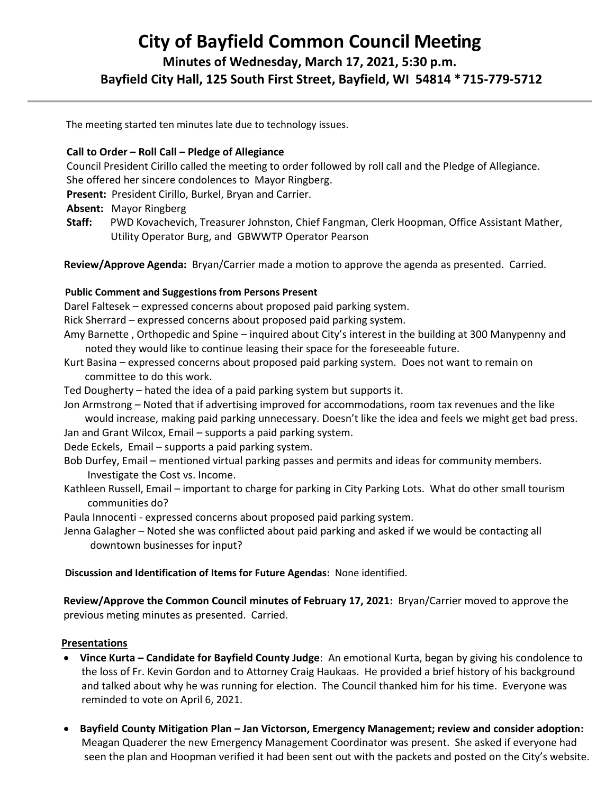# **City of Bayfield Common Council Meeting**

# **Minutes of Wednesday, March 17, 2021, 5:30 p.m. Bayfield City Hall, 125 South First Street, Bayfield, WI 54814 \*715-779-5712**

The meeting started ten minutes late due to technology issues.

### **Call to Order – Roll Call – Pledge of Allegiance**

 Council President Cirillo called the meeting to order followed by roll call and the Pledge of Allegiance. She offered her sincere condolences to Mayor Ringberg.

**Present:** President Cirillo, Burkel, Bryan and Carrier.

- **Absent:** Mayor Ringberg
- **Staff:** PWD Kovachevich, Treasurer Johnston, Chief Fangman, Clerk Hoopman, Office Assistant Mather, Utility Operator Burg, and GBWWTP Operator Pearson

**Review/Approve Agenda:** Bryan/Carrier made a motion to approve the agenda as presented. Carried.

#### **Public Comment and Suggestions from Persons Present**

Darel Faltesek – expressed concerns about proposed paid parking system.

Rick Sherrard – expressed concerns about proposed paid parking system.

- Amy Barnette , Orthopedic and Spine inquired about City's interest in the building at 300 Manypenny and noted they would like to continue leasing their space for the foreseeable future.
- Kurt Basina expressed concerns about proposed paid parking system. Does not want to remain on committee to do this work.

Ted Dougherty – hated the idea of a paid parking system but supports it.

 Jon Armstrong – Noted that if advertising improved for accommodations, room tax revenues and the like would increase, making paid parking unnecessary. Doesn't like the idea and feels we might get bad press.

Jan and Grant Wilcox, Email – supports a paid parking system.

Dede Eckels, Email – supports a paid parking system.

 Bob Durfey, Email – mentioned virtual parking passes and permits and ideas for community members. Investigate the Cost vs. Income.

 Kathleen Russell, Email – important to charge for parking in City Parking Lots. What do other small tourism communities do?

Paula Innocenti - expressed concerns about proposed paid parking system.

 Jenna Galagher – Noted she was conflicted about paid parking and asked if we would be contacting all downtown businesses for input?

# **Discussion and Identification of Items for Future Agendas:** None identified.

**Review/Approve the Common Council minutes of February 17, 2021:** Bryan/Carrier moved to approve the previous meting minutes as presented. Carried.

# **Presentations**

- **Vince Kurta – Candidate for Bayfield County Judge**: An emotional Kurta, began by giving his condolence to the loss of Fr. Kevin Gordon and to Attorney Craig Haukaas. He provided a brief history of his background and talked about why he was running for election. The Council thanked him for his time. Everyone was reminded to vote on April 6, 2021.
- **Bayfield County Mitigation Plan – Jan Victorson, Emergency Management; review and consider adoption:**  Meagan Quaderer the new Emergency Management Coordinator was present. She asked if everyone had seen the plan and Hoopman verified it had been sent out with the packets and posted on the City's website.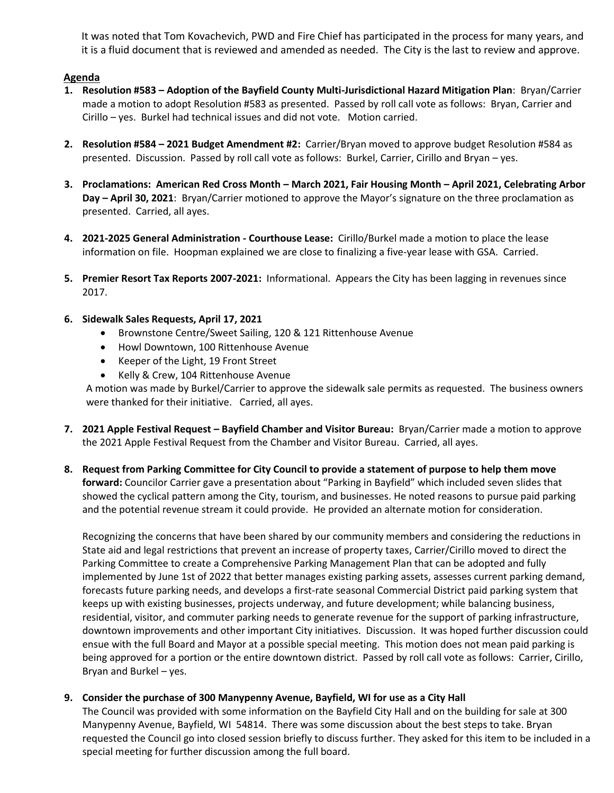It was noted that Tom Kovachevich, PWD and Fire Chief has participated in the process for many years, and it is a fluid document that is reviewed and amended as needed. The City is the last to review and approve.

#### **Agenda**

- **1. Resolution #583 – Adoption of the Bayfield County Multi-Jurisdictional Hazard Mitigation Plan**: Bryan/Carrier made a motion to adopt Resolution #583 as presented. Passed by roll call vote as follows: Bryan, Carrier and Cirillo – yes. Burkel had technical issues and did not vote. Motion carried.
- **2. Resolution #584 – 2021 Budget Amendment #2:** Carrier/Bryan moved to approve budget Resolution #584 as presented. Discussion. Passed by roll call vote as follows: Burkel, Carrier, Cirillo and Bryan – yes.
- **3. Proclamations: American Red Cross Month – March 2021, Fair Housing Month – April 2021, Celebrating Arbor Day – April 30, 2021**: Bryan/Carrier motioned to approve the Mayor's signature on the three proclamation as presented. Carried, all ayes.
- **4. 2021-2025 General Administration - Courthouse Lease:** Cirillo/Burkel made a motion to place the lease information on file. Hoopman explained we are close to finalizing a five-year lease with GSA. Carried.
- **5. Premier Resort Tax Reports 2007-2021:** Informational. Appears the City has been lagging in revenues since 2017.
- **6. Sidewalk Sales Requests, April 17, 2021**
	- Brownstone Centre/Sweet Sailing, 120 & 121 Rittenhouse Avenue
	- Howl Downtown, 100 Rittenhouse Avenue
	- Keeper of the Light, 19 Front Street
	- Kelly & Crew, 104 Rittenhouse Avenue

A motion was made by Burkel/Carrier to approve the sidewalk sale permits as requested. The business owners were thanked for their initiative. Carried, all ayes.

- **7. 2021 Apple Festival Request – Bayfield Chamber and Visitor Bureau:** Bryan/Carrier made a motion to approve the 2021 Apple Festival Request from the Chamber and Visitor Bureau. Carried, all ayes.
- **8. Request from Parking Committee for City Council to provide a statement of purpose to help them move forward:** Councilor Carrier gave a presentation about "Parking in Bayfield" which included seven slides that showed the cyclical pattern among the City, tourism, and businesses. He noted reasons to pursue paid parking and the potential revenue stream it could provide. He provided an alternate motion for consideration.

Recognizing the concerns that have been shared by our community members and considering the reductions in State aid and legal restrictions that prevent an increase of property taxes, Carrier/Cirillo moved to direct the Parking Committee to create a Comprehensive Parking Management Plan that can be adopted and fully implemented by June 1st of 2022 that better manages existing parking assets, assesses current parking demand, forecasts future parking needs, and develops a first-rate seasonal Commercial District paid parking system that keeps up with existing businesses, projects underway, and future development; while balancing business, residential, visitor, and commuter parking needs to generate revenue for the support of parking infrastructure, downtown improvements and other important City initiatives. Discussion. It was hoped further discussion could ensue with the full Board and Mayor at a possible special meeting. This motion does not mean paid parking is being approved for a portion or the entire downtown district. Passed by roll call vote as follows: Carrier, Cirillo, Bryan and Burkel – yes.

#### **9. Consider the purchase of 300 Manypenny Avenue, Bayfield, WI for use as a City Hall**

The Council was provided with some information on the Bayfield City Hall and on the building for sale at 300 Manypenny Avenue, Bayfield, WI 54814. There was some discussion about the best steps to take. Bryan requested the Council go into closed session briefly to discuss further. They asked for this item to be included in a special meeting for further discussion among the full board.